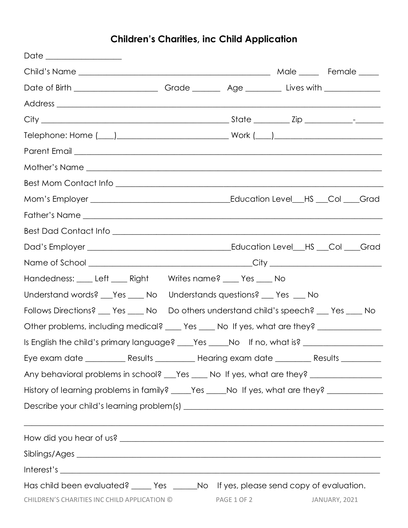## **Children's Charities, inc Child Application**

| Date ________________                                                                                                                                                                                                          |  |  |  |
|--------------------------------------------------------------------------------------------------------------------------------------------------------------------------------------------------------------------------------|--|--|--|
|                                                                                                                                                                                                                                |  |  |  |
|                                                                                                                                                                                                                                |  |  |  |
|                                                                                                                                                                                                                                |  |  |  |
|                                                                                                                                                                                                                                |  |  |  |
|                                                                                                                                                                                                                                |  |  |  |
|                                                                                                                                                                                                                                |  |  |  |
|                                                                                                                                                                                                                                |  |  |  |
|                                                                                                                                                                                                                                |  |  |  |
|                                                                                                                                                                                                                                |  |  |  |
|                                                                                                                                                                                                                                |  |  |  |
|                                                                                                                                                                                                                                |  |  |  |
|                                                                                                                                                                                                                                |  |  |  |
|                                                                                                                                                                                                                                |  |  |  |
| Handedness: Left ____ Right Writes name? ____ Yes ____ No                                                                                                                                                                      |  |  |  |
| Understand words? ___ Yes _____ No Understands questions? ___ Yes ___ No                                                                                                                                                       |  |  |  |
| Follows Directions? ___ Yes ____ No Do others understand child's speech? ___ Yes ____ No                                                                                                                                       |  |  |  |
| Other problems, including medical? ____ Yes ____ No If yes, what are they? ____________                                                                                                                                        |  |  |  |
| Is English the child's primary language? ___ Yes ____ No If no, what is? ____________________                                                                                                                                  |  |  |  |
| Eye exam date _____________Results ______________Hearing exam date _____________Results ____________                                                                                                                           |  |  |  |
| Any behavioral problems in school? ___ Yes ____ No If yes, what are they? __________________________                                                                                                                           |  |  |  |
| History of learning problems in family? _____Yes _____No If yes, what are they? ___________________                                                                                                                            |  |  |  |
|                                                                                                                                                                                                                                |  |  |  |
| <u> 1989 - Johann John Harry Harry Harry Harry Harry Harry Harry Harry Harry Harry Harry Harry Harry Harry Harry</u>                                                                                                           |  |  |  |
| Siblings/Ages entertainment and the state of the state of the state of the state of the state of the state of the state of the state of the state of the state of the state of the state of the state of the state of the stat |  |  |  |
|                                                                                                                                                                                                                                |  |  |  |
| Has child been evaluated? _____ Yes ______No If yes, please send copy of evaluation.<br>CHILDREN'S CHARITIES INC CHILD APPLICATION © PAGE 1 OF 2 JANUARY, 2021                                                                 |  |  |  |